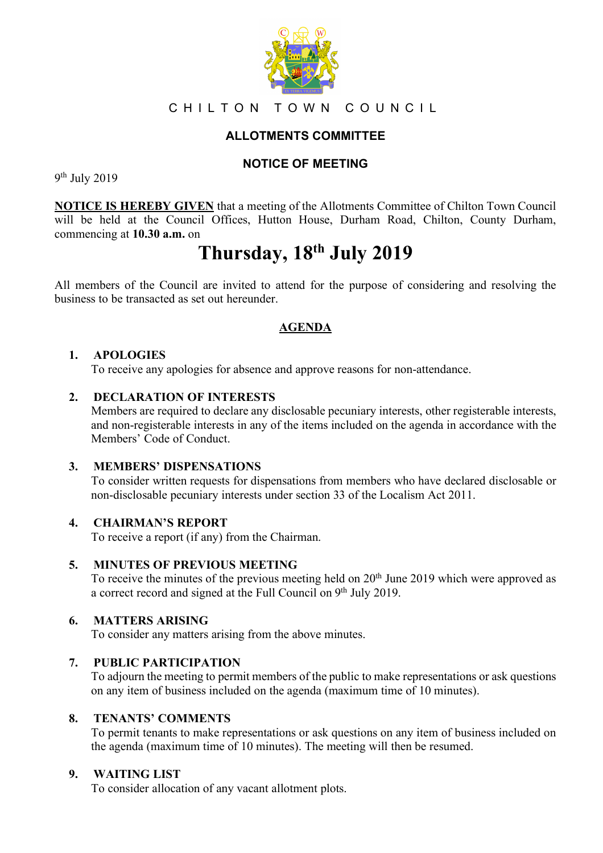

# CHILTON TOWN COUNCIL

# **ALLOTMENTS COMMITTEE**

## **NOTICE OF MEETING**

9th July 2019

**NOTICE IS HEREBY GIVEN** that a meeting of the Allotments Committee of Chilton Town Council will be held at the Council Offices, Hutton House, Durham Road, Chilton, County Durham, commencing at **10.30 a.m.** on

# **Thursday, 18th July 2019**

All members of the Council are invited to attend for the purpose of considering and resolving the business to be transacted as set out hereunder.

# **AGENDA**

## **1. APOLOGIES**

To receive any apologies for absence and approve reasons for non-attendance.

## **2. DECLARATION OF INTERESTS**

Members are required to declare any disclosable pecuniary interests, other registerable interests, and non-registerable interests in any of the items included on the agenda in accordance with the Members' Code of Conduct.

## **3. MEMBERS' DISPENSATIONS**

To consider written requests for dispensations from members who have declared disclosable or non-disclosable pecuniary interests under section 33 of the Localism Act 2011.

## **4. CHAIRMAN'S REPORT**

To receive a report (if any) from the Chairman.

## **5. MINUTES OF PREVIOUS MEETING**

To receive the minutes of the previous meeting held on 20<sup>th</sup> June 2019 which were approved as a correct record and signed at the Full Council on 9<sup>th</sup> July 2019.

## **6. MATTERS ARISING**

To consider any matters arising from the above minutes.

## **7. PUBLIC PARTICIPATION**

To adjourn the meeting to permit members of the public to make representations or ask questions on any item of business included on the agenda (maximum time of 10 minutes).

## **8. TENANTS' COMMENTS**

To permit tenants to make representations or ask questions on any item of business included on the agenda (maximum time of 10 minutes). The meeting will then be resumed.

## **9. WAITING LIST**

To consider allocation of any vacant allotment plots.